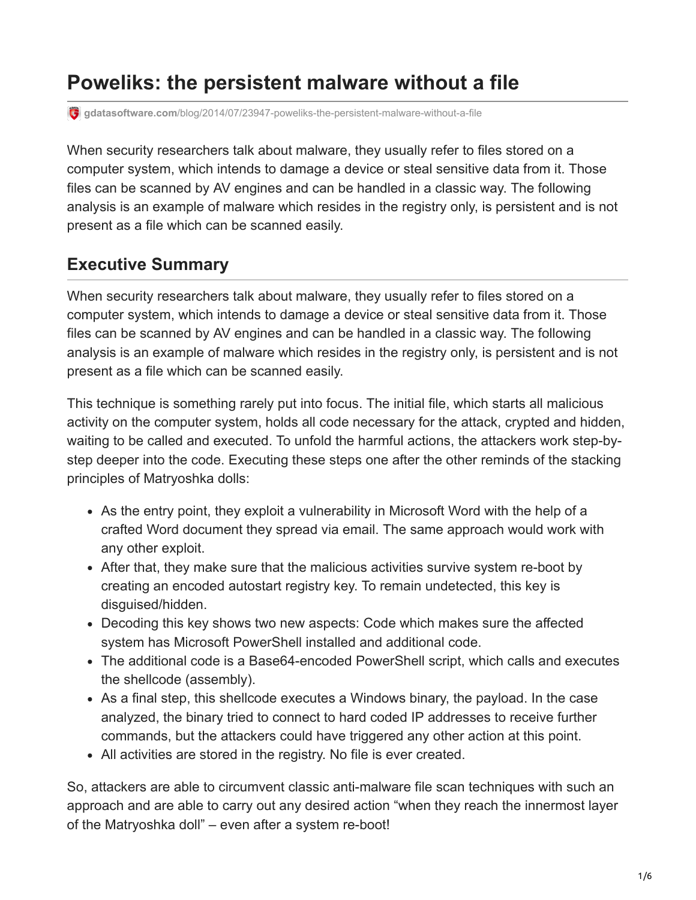# **Poweliks: the persistent malware without a file**

**gdatasoftware.com**[/blog/2014/07/23947-poweliks-the-persistent-malware-without-a-file](https://www.gdatasoftware.com/blog/2014/07/23947-poweliks-the-persistent-malware-without-a-file)

When security researchers talk about malware, they usually refer to files stored on a computer system, which intends to damage a device or steal sensitive data from it. Those files can be scanned by AV engines and can be handled in a classic way. The following analysis is an example of malware which resides in the registry only, is persistent and is not present as a file which can be scanned easily.

#### **Executive Summary**

When security researchers talk about malware, they usually refer to files stored on a computer system, which intends to damage a device or steal sensitive data from it. Those files can be scanned by AV engines and can be handled in a classic way. The following analysis is an example of malware which resides in the registry only, is persistent and is not present as a file which can be scanned easily.

This technique is something rarely put into focus. The initial file, which starts all malicious activity on the computer system, holds all code necessary for the attack, crypted and hidden, waiting to be called and executed. To unfold the harmful actions, the attackers work step-bystep deeper into the code. Executing these steps one after the other reminds of the stacking principles of Matryoshka dolls:

- As the entry point, they exploit a vulnerability in Microsoft Word with the help of a crafted Word document they spread via email. The same approach would work with any other exploit.
- After that, they make sure that the malicious activities survive system re-boot by creating an encoded autostart registry key. To remain undetected, this key is disguised/hidden.
- Decoding this key shows two new aspects: Code which makes sure the affected system has Microsoft PowerShell installed and additional code.
- The additional code is a Base64-encoded PowerShell script, which calls and executes the shellcode (assembly).
- As a final step, this shellcode executes a Windows binary, the payload. In the case analyzed, the binary tried to connect to hard coded IP addresses to receive further commands, but the attackers could have triggered any other action at this point.
- All activities are stored in the registry. No file is ever created.

So, attackers are able to circumvent classic anti-malware file scan techniques with such an approach and are able to carry out any desired action "when they reach the innermost layer of the Matryoshka doll" – even after a system re-boot!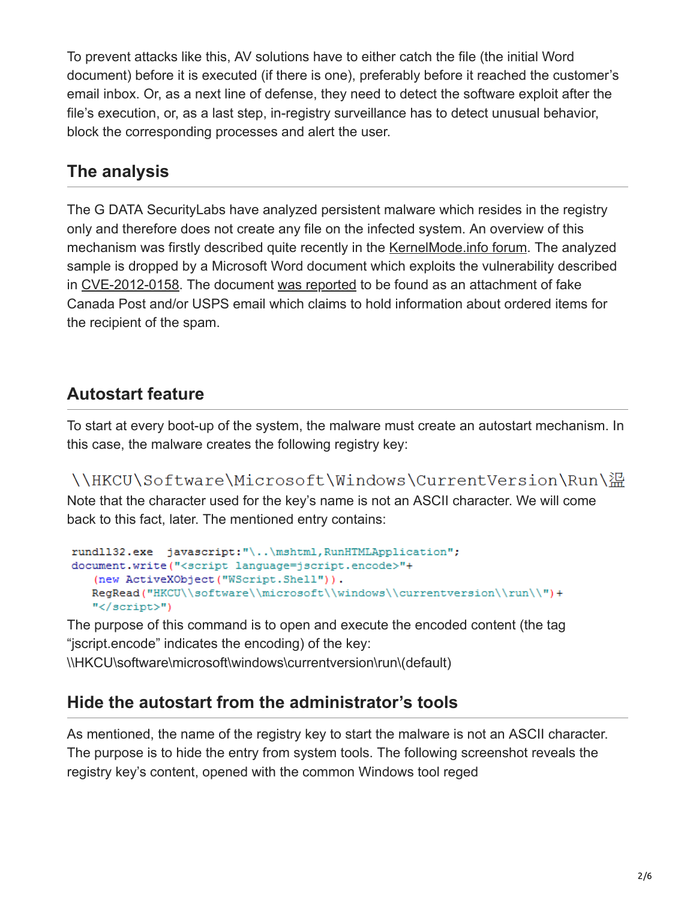To prevent attacks like this, AV solutions have to either catch the file (the initial Word document) before it is executed (if there is one), preferably before it reached the customer's email inbox. Or, as a next line of defense, they need to detect the software exploit after the file's execution, or, as a last step, in-registry surveillance has to detect unusual behavior, block the corresponding processes and alert the user.

#### **The analysis**

The G DATA SecurityLabs have analyzed persistent malware which resides in the registry only and therefore does not create any file on the infected system. An overview of this mechanism was firstly described quite recently in the [KernelMode.info forum.](http://www.kernelmode.info/forum/viewtopic.php?f=16&t=3377) The analyzed sample is dropped by a Microsoft Word document which exploits the vulnerability described in [CVE-2012-0158.](http://www.cve.mitre.org/cgi-bin/cvename.cgi?name=CVE-2012-0158) The document [was reported](http://techhelplist.com/index.php/spam-list/483-scheduled-package-delivery-failed-date-multi-malware) to be found as an attachment of fake Canada Post and/or USPS email which claims to hold information about ordered items for the recipient of the spam.

# **Autostart feature**

To start at every boot-up of the system, the malware must create an autostart mechanism. In this case, the malware creates the following registry key:

\\HKCU\Software\Microsoft\Windows\CurrentVersion\Run\溫 Note that the character used for the key's name is not an ASCII character. We will come back to this fact, later. The mentioned entry contains:

```
rundll32.exe javascript:"\..\mshtml, RunHTMLApplication";
document.write("<script language=jscript.encode>"+
   (new ActiveXObject ("WScript.Shell")).
   RegRead("HKCU\\software\\microsoft\\windows\\currentversion\\run\\")+
   "</script>")
```
The purpose of this command is to open and execute the encoded content (the tag "jscript.encode" indicates the encoding) of the key: \\HKCU\software\microsoft\windows\currentversion\run\(default)

# **Hide the autostart from the administrator's tools**

As mentioned, the name of the registry key to start the malware is not an ASCII character. The purpose is to hide the entry from system tools. The following screenshot reveals the registry key's content, opened with the common Windows tool reged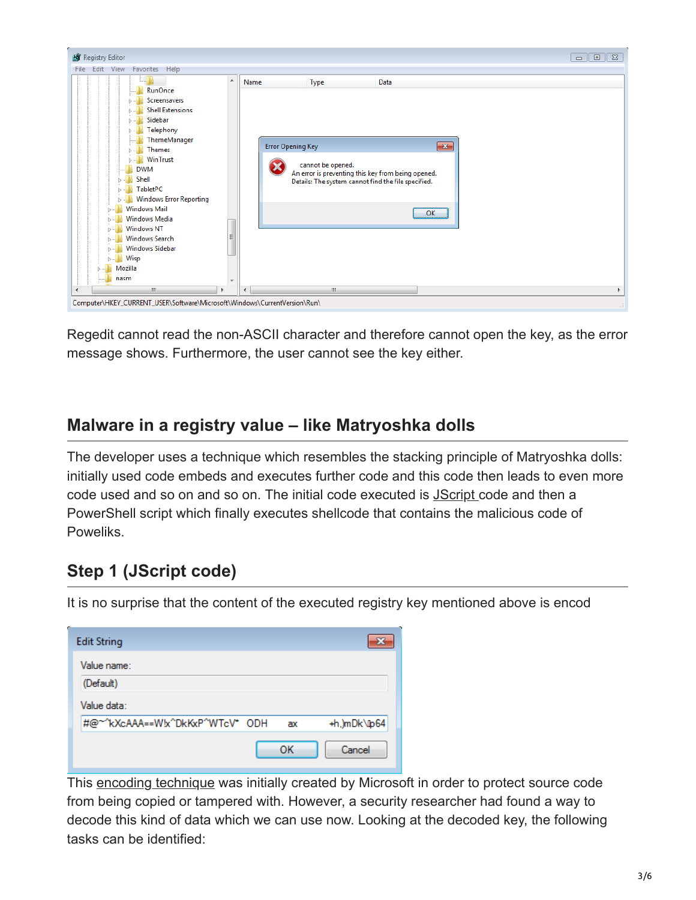

Regedit cannot read the non-ASCII character and therefore cannot open the key, as the error message shows. Furthermore, the user cannot see the key either.

#### **Malware in a registry value – like Matryoshka dolls**

The developer uses a technique which resembles the stacking principle of Matryoshka dolls: initially used code embeds and executes further code and this code then leads to even more code used and so on and so on. The initial code executed is [JScript c](http://en.wikipedia.org/wiki/JScript)ode and then a PowerShell script which finally executes shellcode that contains the malicious code of Poweliks.

## **Step 1 (JScript code)**

It is no surprise that the content of the executed registry key mentioned above is encod

| e<br><b>Edit String</b>         |    |    |              |
|---------------------------------|----|----|--------------|
| Value name:                     |    |    |              |
| (Default)                       |    |    |              |
| Value data:                     |    |    |              |
| #@~^kXcAAA==Wbc^DkKxP^WTcV* ODH |    | ax | +h.)mDk\lp64 |
|                                 | OK |    | Cancel       |

This [encoding technique](http://en.wikipedia.org/wiki/JScript.Encode) was initially created by Microsoft in order to protect source code from being copied or tampered with. However, a security researcher had found a way to decode this kind of data which we can use now. Looking at the decoded key, the following tasks can be identified: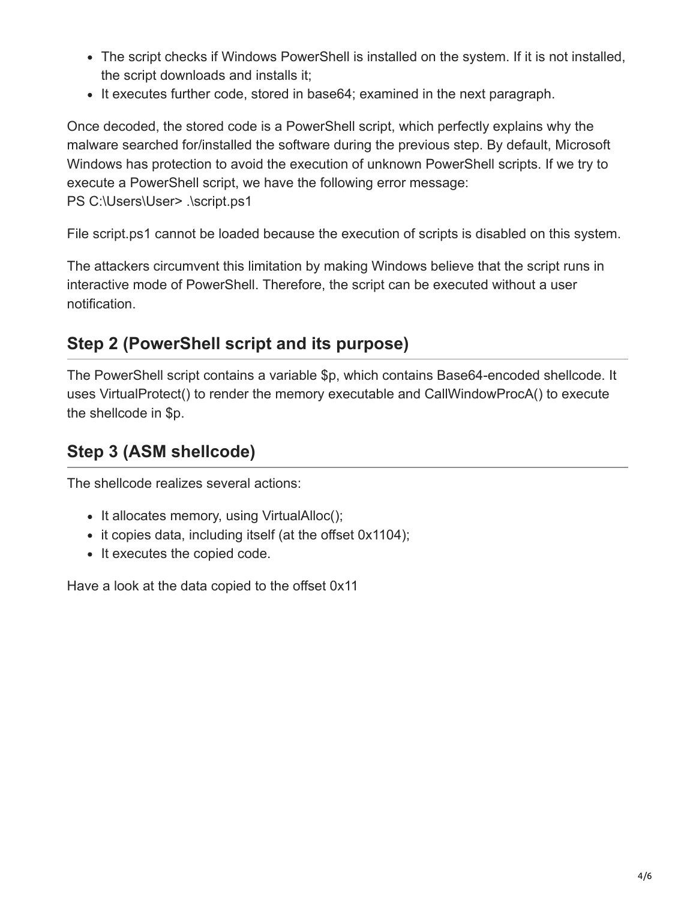- The script checks if Windows PowerShell is installed on the system. If it is not installed, the script downloads and installs it;
- It executes further code, stored in base 64; examined in the next paragraph.

Once decoded, the stored code is a PowerShell script, which perfectly explains why the malware searched for/installed the software during the previous step. By default, Microsoft Windows has protection to avoid the execution of unknown PowerShell scripts. If we try to execute a PowerShell script, we have the following error message: PS C:\Users\User> .\script.ps1

File script.ps1 cannot be loaded because the execution of scripts is disabled on this system.

The attackers circumvent this limitation by making Windows believe that the script runs in interactive mode of PowerShell. Therefore, the script can be executed without a user notification.

## **Step 2 (PowerShell script and its purpose)**

The PowerShell script contains a variable \$p, which contains Base64-encoded shellcode. It uses VirtualProtect() to render the memory executable and CallWindowProcA() to execute the shellcode in \$p.

## **Step 3 (ASM shellcode)**

The shellcode realizes several actions:

- It allocates memory, using VirtualAlloc();
- it copies data, including itself (at the offset 0x1104);
- It executes the copied code.

Have a look at the data copied to the offset 0x11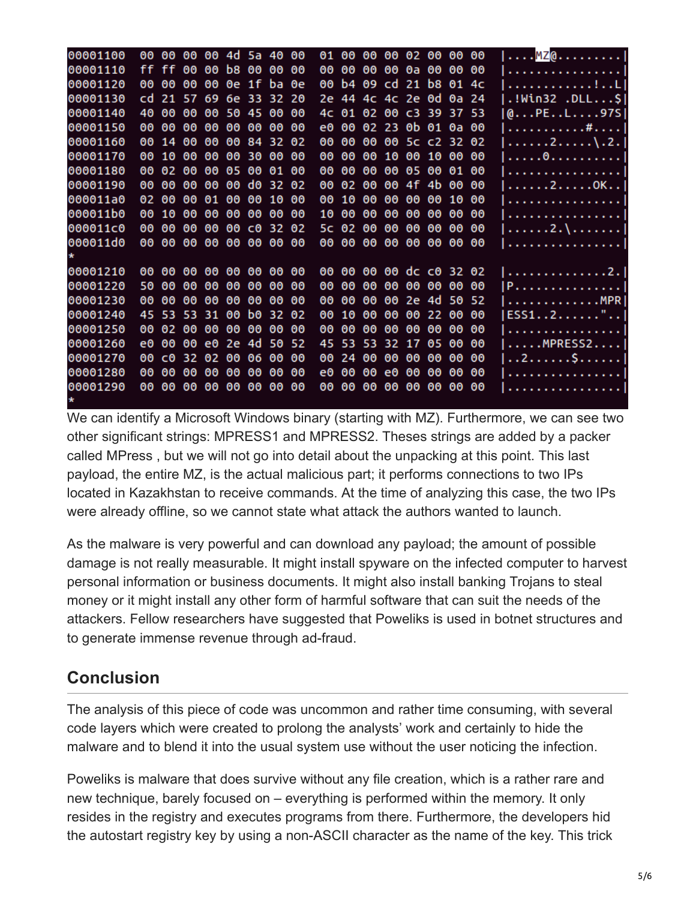| 00001100 | 00  | 00    |       |             | 00 00 4d 5a 40 00       |             |              |      | 01  | 00    | ၜၜ  | 00 02 00 00       |       |       |             | ೲ   | $  \ldots$ . MZ $\mathsf{Q}$ .     |
|----------|-----|-------|-------|-------------|-------------------------|-------------|--------------|------|-----|-------|-----|-------------------|-------|-------|-------------|-----|------------------------------------|
| 00001110 |     | ff ff | 00    | 00          | b8                      | 00 00       |              | - 00 | 00  | 00    | 00  | ၜၜ                | 0a 00 |       | 00          | -00 | .                                  |
| 00001120 | 00  | 00    | 00    | 00          |                         | 0e 1f ba 0e |              |      | 00  | b4    |     | 09 cd 21 b8 01 4c |       |       |             |     | . <u>.</u> Ll                      |
| 00001130 | cd. |       |       |             | 21 57 69 6e 33 32 20    |             |              |      |     |       |     | 2e 44 4c 4c 2e 0d |       |       | 0a 24       |     | .!Win32 .DLL\$                     |
| 00001140 | 40  | 00    | 00    | 00          | 50 45 00                |             |              | ಄    |     |       |     | 4c 01 02 00       |       |       | C3 39 37 53 |     | @PEL97S                            |
| 00001150 | 00  | 00    | 00    | 00          | 00                      | 00          | 00           | ಄    | e0. | 00    |     | 02 23 0b 01 0a 00 |       |       |             |     | . #                                |
| 00001160 | 00  | 14    | 00    | 00          | ၜၜ                      |             | 84 32 02     |      | 00  | 00    | 00  | 00                |       |       | 5c c2 32 02 |     | . 2 \ . 2 .                        |
| 00001170 | 00  | 10    | 00    | 00          | 00                      | -30         | 00           | - 00 | 00  | 00    | 00  | 10                | 00 10 |       | 00          | -00 | . 0                                |
| 00001180 | 00  |       | 02 00 | 00          | 05                      |             | 00 01 00     |      | 00  | 00    | 00  | 00                | 05 00 |       | 01          | -00 | .                                  |
| 00001190 | 00  | 00    | 00    | 00          | 00                      | d0.         | 32 02        |      | 00  | 02    | 00  | 00                | 4f    | 4b    | 00          | 00  | $\ldots \ldots 2 \ldots 0K \ldots$ |
| 000011a0 |     | 02 00 | 00    | 01          | ၜၜ                      | 00          | 10           | - 00 | 00  | 10    | 00  | 00                | ၜၜ    | 00    | 10          | -66 | .                                  |
| 000011b0 | 00  | 10    | 00    | 00          | 00                      | 00          | 00           | -00  | 10  | 00    | 00  | 00                | 00    | 00    | 00          | -66 | .                                  |
| 000011c0 | 00  | 00    | 00    | 00          | 00                      |             | $C0$ 32 $02$ |      |     | 5c 02 | 00  | 00                | 00    | 00    | 00          | 00  | . 2 . \                            |
| 000011d0 |     |       |       |             | 00 00 00 00 00 00 00 00 |             |              |      | 00  | 00    | 00  | 00                | 00 00 |       | 00 00       |     | .                                  |
|          |     |       |       |             |                         |             |              |      |     |       |     |                   |       |       |             |     |                                    |
| 00001210 |     | 00 00 |       |             | 00 00 00 00 00 00       |             |              |      | 00  | 00    | 00  | 00 dc c0 32 02    |       |       |             |     | . 2 . 1                            |
| 00001220 | 50. | 00    | 00    | 00          | 00                      | 00          | 00           | 00   | 00  | 00    | 00  | 00                | 00    | 00    | 00 00       |     | 1 P 1                              |
| 00001230 | 00  | 00    | 00    | 00          | 00                      | 00          | 00           | - 00 | 00  | 00    | 00  | 00                | 2e 4d |       | 50 52       |     | . MPR                              |
| 00001240 |     |       |       | 45 53 53 31 | 00                      | b0.         | 32 02        |      | 00  | 10    | 00  | 00                |       | 00 22 | 00          | 00  | ESS12"                             |
| 00001250 | 00  | 02    | 00    | 00          | ၜၜ                      | 00          | 00           | ೲ    | 00  | 00    | 00  | 00                | ၜၜ    | 00    | 00          | 00  | .                                  |
| 00001260 | e0. | 00    | 00    |             | e0 2e 4d                |             | 50 52        |      | 45. | 53    | -53 | 32 17             |       | 05    | 00          | -66 | $\ldots$ .MPRESS2                  |
| 00001270 | 00  | cΘ    |       | 32 02       | 00                      | 06          | 00           | - 00 | 00  | 24    | 00  | 00                | ၜၜ    | 00    | 00          | 00  | . . 2 \$                           |
| 00001280 | 00  | 00    | 00    | 00          | 00                      | 00          | 00           | - 00 | e0  | 00    | 00  | e0                | 00    | 00    | 00          | 00  | .                                  |
| 00001290 | 00  | 00    | ၜၜ    | 00          | 00 00                   |             | 00           | -00  | 00  | 00    | 00  | ၜၜ                | ၜၜ    | 00    | 00          | 00  | .                                  |
|          |     |       |       |             |                         |             |              |      |     |       |     |                   |       |       |             |     |                                    |

We can identify a Microsoft Windows binary (starting with MZ). Furthermore, we can see two other significant strings: MPRESS1 and MPRESS2. Theses strings are added by a packer called MPress , but we will not go into detail about the unpacking at this point. This last payload, the entire MZ, is the actual malicious part; it performs connections to two IPs located in Kazakhstan to receive commands. At the time of analyzing this case, the two IPs were already offline, so we cannot state what attack the authors wanted to launch.

As the malware is very powerful and can download any payload; the amount of possible damage is not really measurable. It might install spyware on the infected computer to harvest personal information or business documents. It might also install banking Trojans to steal money or it might install any other form of harmful software that can suit the needs of the attackers. Fellow researchers have suggested that Poweliks is used in botnet structures and to generate immense revenue through ad-fraud.

## **Conclusion**

The analysis of this piece of code was uncommon and rather time consuming, with several code layers which were created to prolong the analysts' work and certainly to hide the malware and to blend it into the usual system use without the user noticing the infection.

Poweliks is malware that does survive without any file creation, which is a rather rare and new technique, barely focused on – everything is performed within the memory. It only resides in the registry and executes programs from there. Furthermore, the developers hid the autostart registry key by using a non-ASCII character as the name of the key. This trick